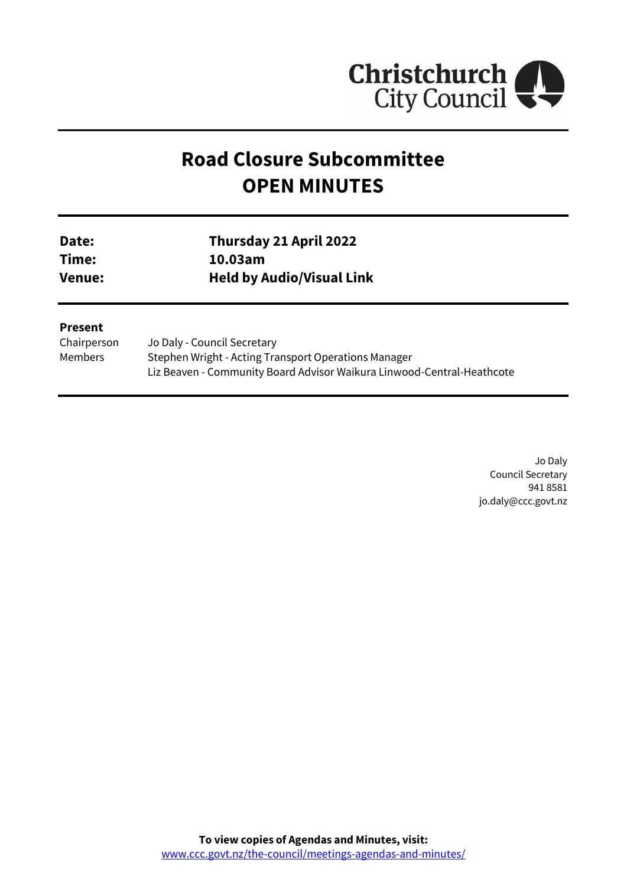

# **Road Closure Subcommittee OPEN MINUTES**

| <b>Date:</b> | Thursday 21 April 2022           |
|--------------|----------------------------------|
| Time:        | 10.03am                          |
| Venue:       | <b>Held by Audio/Visual Link</b> |

#### **Present**

| Chairperson | Jo Daly - Council Secretary                                            |
|-------------|------------------------------------------------------------------------|
| Members     | Stephen Wright - Acting Transport Operations Manager                   |
|             | Liz Beaven - Community Board Advisor Waikura Linwood-Central-Heathcote |

Jo Daly Council Secretary 941 8581 jo.daly@ccc.govt.nz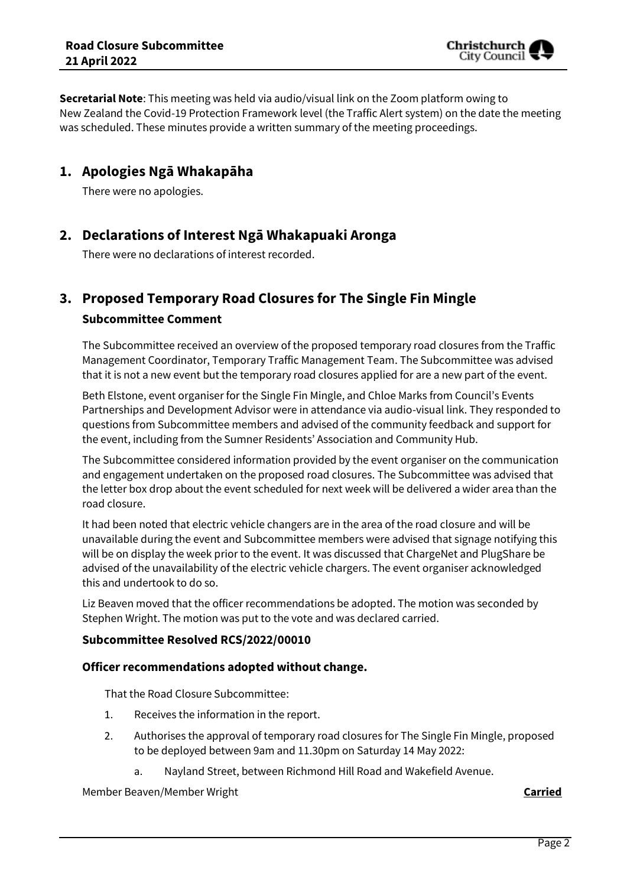**Secretarial Note**: This meeting was held via audio/visual link on the Zoom platform owing to New Zealand the Covid-19 Protection Framework level (the Traffic Alert system) on the date the meeting was scheduled. These minutes provide a written summary of the meeting proceedings.

# **1. Apologies Ngā Whakapāha**

There were no apologies.

# **2. Declarations of Interest Ngā Whakapuaki Aronga**

There were no declarations of interest recorded.

# **3. Proposed Temporary Road Closures for The Single Fin Mingle**

### **Subcommittee Comment**

The Subcommittee received an overview of the proposed temporary road closures from the Traffic Management Coordinator, Temporary Traffic Management Team. The Subcommittee was advised that it is not a new event but the temporary road closures applied for are a new part of the event.

Beth Elstone, event organiser for the Single Fin Mingle, and Chloe Marks from Council's Events Partnerships and Development Advisor were in attendance via audio-visual link. They responded to questions from Subcommittee members and advised of the community feedback and support for the event, including from the Sumner Residents' Association and Community Hub.

The Subcommittee considered information provided by the event organiser on the communication and engagement undertaken on the proposed road closures. The Subcommittee was advised that the letter box drop about the event scheduled for next week will be delivered a wider area than the road closure.

It had been noted that electric vehicle changers are in the area of the road closure and will be unavailable during the event and Subcommittee members were advised that signage notifying this will be on display the week prior to the event. It was discussed that ChargeNet and PlugShare be advised of the unavailability of the electric vehicle chargers. The event organiser acknowledged this and undertook to do so.

Liz Beaven moved that the officer recommendations be adopted. The motion was seconded by Stephen Wright. The motion was put to the vote and was declared carried.

## **Subcommittee Resolved RCS/2022/00010**

### **Officer recommendations adopted without change.**

That the Road Closure Subcommittee:

- 1. Receives the information in the report.
- 2. Authorises the approval of temporary road closures for The Single Fin Mingle, proposed to be deployed between 9am and 11.30pm on Saturday 14 May 2022:
	- a. Nayland Street, between Richmond Hill Road and Wakefield Avenue.

Member Beaven/Member Wright **Carried**